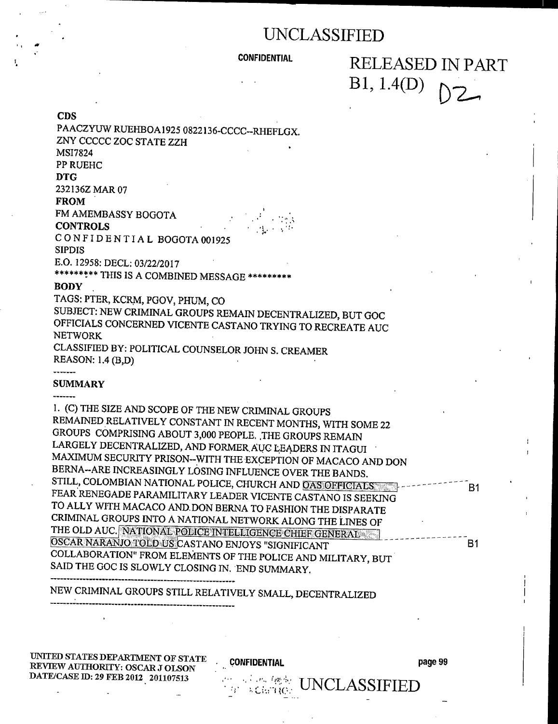### CONFIDENTIAL RELEASED IN PART  $B1, 1.4(D)$  $D2 -$

CDs

| PAACZYUW RUEHBOA1925 0822136-CCCC--RHEFLGX.                  |           |
|--------------------------------------------------------------|-----------|
| ZNY CCCCC ZOC STATE ZZH                                      |           |
| MSI7824                                                      |           |
| PP RUEHC                                                     |           |
| <b>DTG</b>                                                   |           |
| 232136Z MAR 07                                               |           |
| <b>FROM</b>                                                  |           |
| FM AMEMBASSY BOGOTA                                          |           |
| <b>CONTROLS</b>                                              |           |
| CONFIDENTIAL BOGOTA 001925                                   |           |
| <b>SIPDIS</b>                                                |           |
| E.O. 12958: DECL: 03/22/2017                                 |           |
| ********* THIS IS A COMBINED MESSAGE *********               |           |
| <b>BODY</b>                                                  |           |
| TAGS: PTER, KCRM, PGOV, PHUM, CO                             |           |
| SUBJECT: NEW CRIMINAL GROUPS REMAIN DECENTRALIZED, BUT GOC   |           |
| OFFICIALS CONCERNED VICENTE CASTANO TRYING TO RECREATE AUC   |           |
| <b>NETWORK</b>                                               |           |
| CLASSIFIED BY: POLITICAL COUNSELOR JOHN S. CREAMER           |           |
| REASON: 1.4 (B,D)                                            |           |
|                                                              |           |
| <b>SUMMARY</b>                                               |           |
|                                                              |           |
| 1. (C) THE SIZE AND SCOPE OF THE NEW CRIMINAL GROUPS         |           |
| REMAINED RELATIVELY CONSTANT IN RECENT MONTHS, WITH SOME 22  |           |
| GROUPS COMPRISING ABOUT 3,000 PEOPLE. THE GROUPS REMAIN      |           |
| LARGELY DECENTRALIZED, AND FORMER AUC LEADERS IN ITAGUI      |           |
| MAXIMUM SECURITY PRISON-WITH THE EXCEPTION OF MACACO AND DON |           |
| BERNA--ARE INCREASINGLY LOSING INFLUENCE OVER THE BANDS.     |           |
| STILL, COLOMBIAN NATIONAL POLICE, CHURCH AND OAS OFFICIALS   | <b>B1</b> |
| FEAR RENEGADE PARAMILITARY LEADER VICENTE CASTANO IS SEEKING |           |
| TO ALLY WITH MACACO AND DON BERNA TO FASHION THE DISPARATE   |           |
| CRIMINAL GROUPS INTO A NATIONAL NETWORK ALONG THE LINES OF   |           |
| THE OLD AUC. NATIONAL POLICE INTELLIGENCE CHIEF GENERAL      |           |
| OSCAR NARANJO TOLD US CASTANO ENJOYS "SIGNIFICANT            | <b>B1</b> |
| COLLABORATION" FROM ELEMENTS OF THE POLICE AND MILITARY, BUT |           |
| SAID THE GOC IS SLOWLY CLOSING IN. END SUMMARY.              |           |
|                                                              |           |
| NEW CRIMINAL GROUPS STILL RELATIVELY SMALL, DECENTRALIZED    |           |

UNITED STATES DEPARTMENT OF STATE<br>REVIEW AUTHORITY, OSCAR LOLONIAL CONFIDENTIAL Page 99 REVIEW AUTHORITY: OSCAR J OLSON DATE/CASE ID: 29 FEB 2012 201107513

 $\overline{a}$ 

---------------------------------------------------------

 $\mathbf{I}$ 

 $\mathcal{C}_{\mathcal{P}}$  ,  $\mathcal{C}_{\text{GUT}}$  (see  $\mathcal{C}_{\mathcal{P}}$  UNCLASSIFIED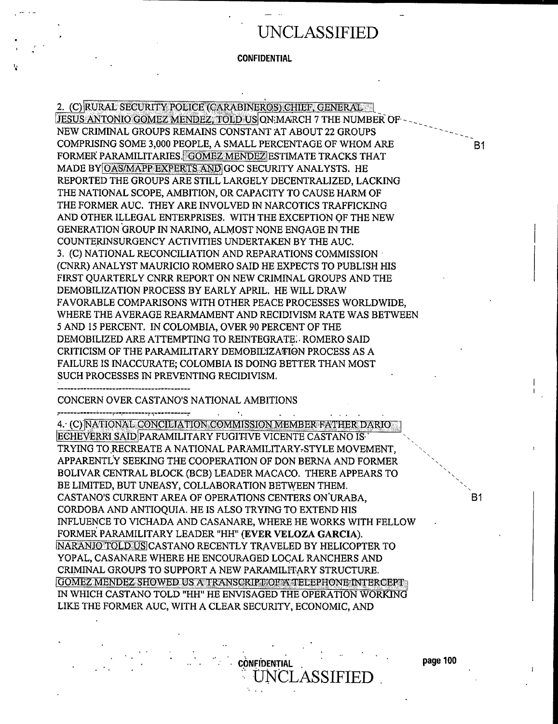**CONFIDENTIAL** 

2. (C) RURAL SECURITY POLICE (CARABINEROS) CHIEF, GENERAL JESUS ANTONIO GOMEZ MENDEZ, TOLD USJQN;MARCH 7 THE NUMBER OF- - NEW CRIMINAL GROUPS REMAINS CONSTANT AT ABOUT 22 GROUPS COMPRISING SOME 3,000 PEOPLE, A SMALL PERCENTAGE OF WHOM ARE FORMER PARAMILITARIES. GOMEZ MENDEZ ESTIMATE TRACKS THAT MADE BY OAS/MAPP EXPERTS AND GOC SECURITY ANALYSTS. HE REPORTED THE GROUPS ARE STILL LARGELY DECENTRALIZED, LACKING THE NATIONAL SCOPE, AMBITION, OR CAPACITY TO CAUSE HARM OF THE FORMER AUC. THEY ARE INVOLVED IN NARCOTICS TRAFFICKING AND OTHER ILLEGAL ENTERPRISES. WITH THE EXCEPTION OF THE NEW GENERATION GROUP IN NARINO, ALMOST NONE ENGAGE IN THE COUNTERINSURGENCY ACTIVITIES UNDERTAKEN BY THE AUC. 3. (C) NATIONAL RECONCILIATION AND REPARATIONS COMMISSION (CNRR) ANALYST MAURICIO ROMERO SAID HE EXPECTS TO PUBLISH HIS FIRST QUARTERLY CNRR REPORT ON NEW CRIMINAL GROUPS AND THE DEMOBILIZATION PROCESS BY EARLY APRIL. HE WILL DRAW FAVORABLE COMPARISONS WITH OTHER PEACE PROCESSES WORLDWIDE, WHERE THE AVERAGE REARMAMENT AND RECIDIVISM RATE WAS BETWEEN 5 AND 15 PERCENT. IN COLOMBIA, OVER 90 PERCENT OF THE DEMOBILIZED ARE ATTEMPTING TO REINTEGRATE.'. ROMERO SAID CRITICISM OF THE PARAMILITARY DEMOBILIZATION PROCESS AS A FAILURE IS INACCURATE; COLOMBIA IS DOING BETTER THAN MOST SUCH PROCESSES IN PREVENTING RECIDIVISM. CONCERN OVER CASTANO'S NATIONAL AMBITIONS 4. (C) NATIONAL CONCILIATION COMMISSION MEMBER FATHER DARIO ECHEVERRI SAID PARAMILITARY FUGITIVE VICENTE CASTANO IS,' TRYING TO RECREATE A NATIONAL PARAMILITARY-STYLE MOVEMENT,

B1

B1

I

BOLIVAR CENTRAL BLOCK (BCB) LEADER MACACO. THERE APPEARS TO BE LIMITED, BUT UNEASY, COLLABORATION BETWEEN THEM. CASTANO'S CURRENT AREA OF OPERATIONS CENTERS ON'URABA, CORDOBA AND ANTIOQUTA. HE IS ALSO TRYING TO EXTEND HIS INFLUENCE TO VICHADA AND CASANARE, WHERE HE WORKS WITH FELLOW FORMER PARAMILITARY LEADER "HH" (EVER VELOZA GARCIA). NARANIO TOLD US CASTANO RECENTLY TRAVELED BY HELICOPTER TO YOPAL, CASANARE WHERE HE ENCOURAGED LOCAL RANCHERS AND CRIMINAL GROUPS TO SUPPORT A NEW PARAMILITARY STRUCTURE. GOMEZ.MENDEZ.SHOWED.US A TRANSCRIPT;OF A TELEPHONE INTERCEPT: IN WHICH CASTANO TOLD "HH" HE ENVISAGED THE OPERATION WORKING LIKE THE FORMER AUC, WITH A CLEAR SECURITY, ECONOMIC, AND

APPARENTLY SEEKING THE COOPERATION OF DON BERNA AND FORMER

CONFIDENTIAL **page 100** 

LASSIFIED<sup>.</sup>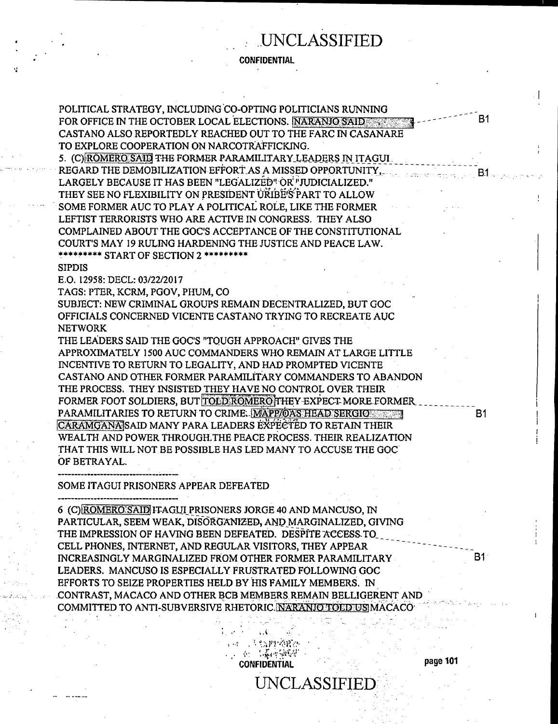CONFIDENTIAL

POLITICAL STRATEGY, INCLUDING 'CO-OPTING POLITICIANS RUNNING FOR OFFICE IN THE OCTOBER LOCAL ELECTIONS. NARANJO SAID CASTANO ALSO REPORTEDLY REACHED OUT TO THE FARO IN CASANARE TO EXPLORE COOPERATION ON NARCOTRAFFICKING.

5. (C) ROMERO SAID THE FORMER PARAMILITARY LEADERS IN ITAGUI. REGARD THE DEMOBILIZATION EFFORT AS A MISSED OPPORTUNITY, LARGELY BECAUSE IT HAS BEEN "LEGALIZED" OR "JUDICIALIZED." THEY SEE NO FLEXIBILITY ON PRESIDENT URIBE'S' PART TO ALLOW SOME FORMER AUC TO PLAY A POLITICAL ROLE, LIKE THE FORMER LEFTIST TERRORISTS WHO ARE ACTIVE IN CONGRESS. THEY ALSO COMPLAINED ABOUT THE GOC'S ACCEPTANCE OF THE CONSTITUTIONAL COURT'S MAY 19 RULING HARDENING THE JUSTICE AND PEACE LAW. \*\*\*\*\*\*\*\*\* START OF SECTION 2 \*\*\*\*\*\*\*\*\*\*

#### SIPDIS

E.O. 12958: DECL: 03/22/2017

TAGS: PTER, KCRM, PGOV, PHUM, CO

SUBJECT: NEW CRIMINAL GROUPS REMAIN DECENTRALIZED, BUT GOC OFFICIALS CONCERNED VICENTE CASTANO TRYING TO RECREATE AUC NETWORK

THE LEADERS SAID THE GOC'S "TOUGH APPROACH" GIVES THE APPROXIMATELY 1500 AUC COMMANDERS WHO REMAIN AT LARGE LITTLE INCENTIVE TO RETURN TO LEGALITY, AND HAD PROMPTED VICENTE CASTANO AND OTHER FORMER PARAMILITARY COMMANDERS TO ABANDON THE PROCESS. THEY INSISTED THEY HAVE NO CONTROL OVER THEIR FORMER FOOT SOLDIERS, BUT TOLD ROMEROTHEY-EXPECT MORE FORMER PARAMILITARIES TO RETURN TO CRIME. MAPP, OAS HEAD SERGIO CARAMGANA SAID MANY PARA LEADERS EXPECTED TO RETAIN THEIR WEALTH AND POWER THROUGH.THE PEACE PROCESS. THEIR REALIZATION THAT THIS WILL NOT BE POSSIBLE HAS LED MANY TO ACCUSE THE GOC' OF BETRAYAL.

----------------------------------

SOME ITAGUI PRISONERS APPEAR DEFEATED

----------------------------------

6 (C) ROMERO SAID ITAGUI PRISONERS JORGE 40 AND MANCUSO, IN PARTICULAR, SEEM WEAK, DISORGaANIZED~ AND MARGINALIZED, GIVING THE IMPRESSION OF HAVING BEEN DEFEATED. DESPITE ACCESS TO CELL PHONES, INTERNET, AND REGULAR VISITORS, THEY APPEAR INCREASINGLY MARGINALIZED FROM OTHER FORMER PARAMILITARY LEADERS. MANCUSO IS ESPECIALLY FRUSTRATED FOLLOWING GOC EFFORTS TO SEIZE PROPERTIES HELD BY HIS FAMILY MEMBERS. IN .CONTRAST, MACACO AND OTHER BCB MEMBERS. REMAIN\_BELLIGERENT AND ' COMMITTED TO ANTI-SUBVERSIVE RHETORIC. MARANIO TOED US MACACO

..(

**SAMPARE** 

enter of the Confidential page 101<br>CONFIDENTIAL page 101

B1

UNCLASSIFIED .